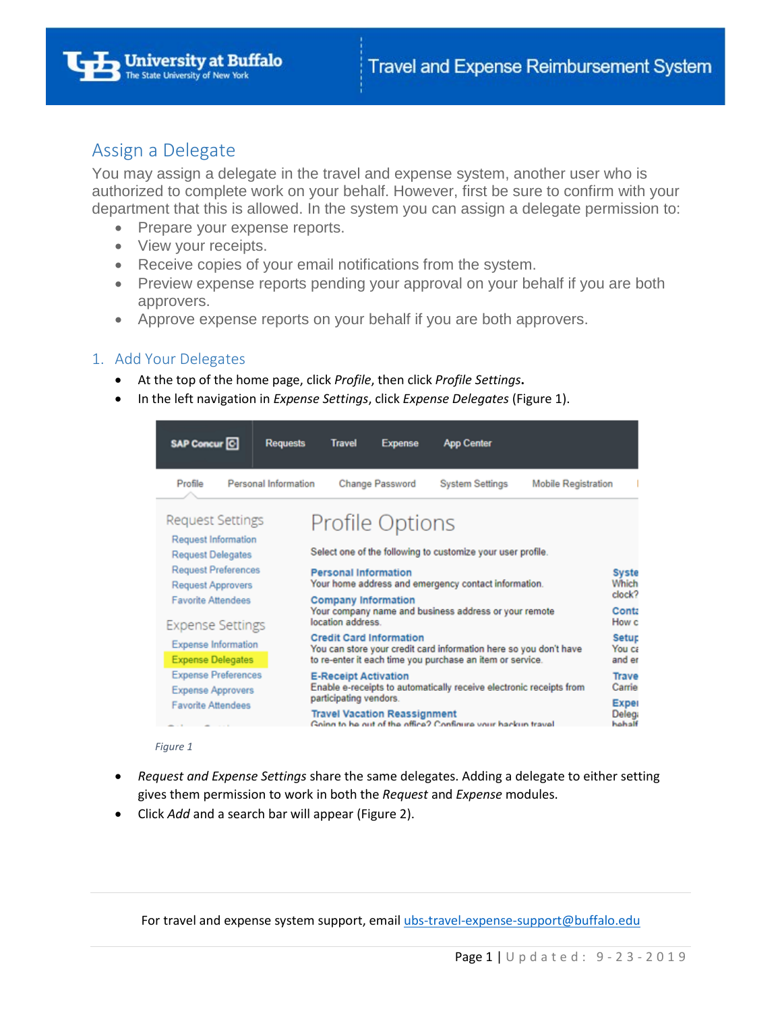

### Assign a Delegate

You may assign a delegate in the travel and expense system, another user who is authorized to complete work on your behalf. However, first be sure to confirm with your department that this is allowed. In the system you can assign a delegate permission to:

- Prepare your expense reports.
- View your receipts.
- Receive copies of your email notifications from the system.
- Preview expense reports pending your approval on your behalf if you are both approvers.
- Approve expense reports on your behalf if you are both approvers.

### 1. Add Your Delegates

- At the top of the home page, click *Profile*, then click *Profile Settings***.**
- In the left navigation in *Expense Settings*, click *Expense Delegates* (Figure 1).



#### *Figure 1*

- *Request and Expense Settings* share the same delegates. Adding a delegate to either setting gives them permission to work in both the *Request* and *Expense* modules.
- Click *Add* and a search bar will appear (Figure 2).

For travel and expense system support, email [ubs-travel-expense-support@buffalo.edu](mailto:ubs-travel-expense-support@buffalo.edu)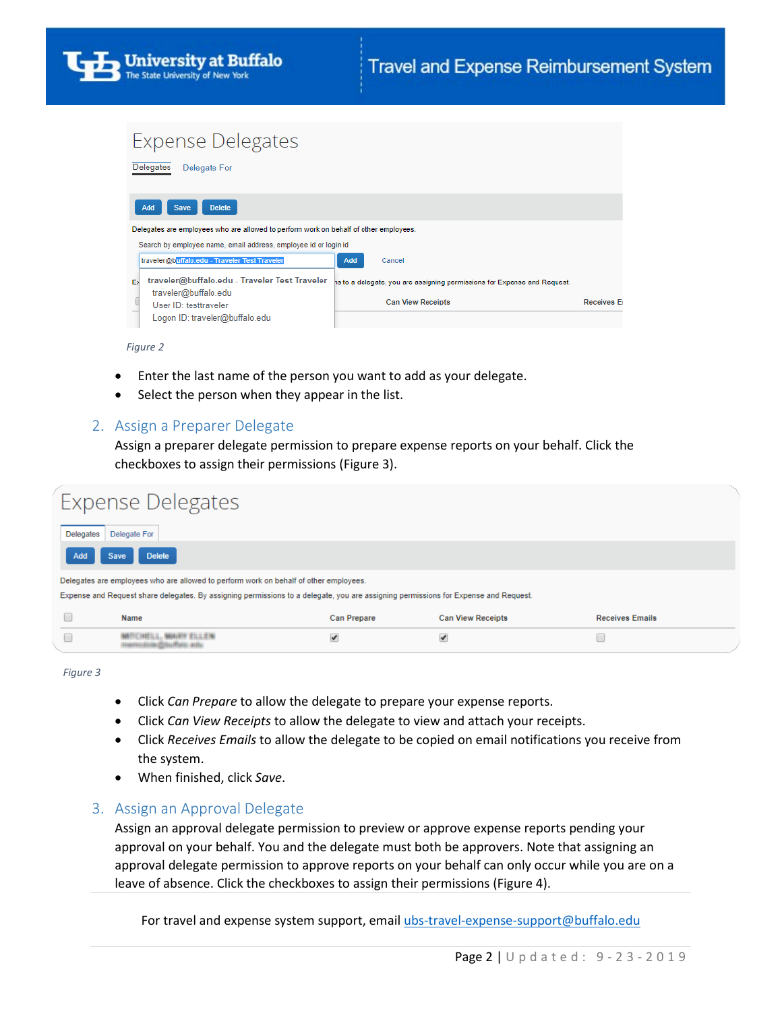## **Expense Delegates**



*Figure 2* 

- Enter the last name of the person you want to add as your delegate.
- Select the person when they appear in the list.

### 2. Assign a Preparer Delegate

Assign a preparer delegate permission to prepare expense reports on your behalf. Click the checkboxes to assign their permissions (Figure 3).

|                                                                                                                                     | Expense Delegates            |                    |                          |                        |  |  |  |  |  |  |  |
|-------------------------------------------------------------------------------------------------------------------------------------|------------------------------|--------------------|--------------------------|------------------------|--|--|--|--|--|--|--|
| <b>Delegates</b>                                                                                                                    | Delegate For                 |                    |                          |                        |  |  |  |  |  |  |  |
| Add                                                                                                                                 | <b>Delete</b><br><b>Save</b> |                    |                          |                        |  |  |  |  |  |  |  |
| Delegates are employees who are allowed to perform work on behalf of other employees.                                               |                              |                    |                          |                        |  |  |  |  |  |  |  |
| Expense and Request share delegates. By assigning permissions to a delegate, you are assigning permissions for Expense and Request. |                              |                    |                          |                        |  |  |  |  |  |  |  |
|                                                                                                                                     | Name                         | <b>Can Prepare</b> | <b>Can View Receipts</b> | <b>Receives Emails</b> |  |  |  |  |  |  |  |
|                                                                                                                                     | <b>STEEL SEE CONTACT</b>     | ✔                  | ✔                        |                        |  |  |  |  |  |  |  |

*Figure 3* 

- Click *Can Prepare* to allow the delegate to prepare your expense reports.
- Click *Can View Receipts* to allow the delegate to view and attach your receipts.
- Click *Receives Emails* to allow the delegate to be copied on email notifications you receive from the system.
- When finished, click *Save*.

### 3. Assign an Approval Delegate

Assign an approval delegate permission to preview or approve expense reports pending your approval on your behalf. You and the delegate must both be approvers. Note that assigning an approval delegate permission to approve reports on your behalf can only occur while you are on a leave of absence. Click the checkboxes to assign their permissions (Figure 4).

For travel and expense system support, email [ubs-travel-expense-support@buffalo.edu](mailto:ubs-travel-expense-support@buffalo.edu)